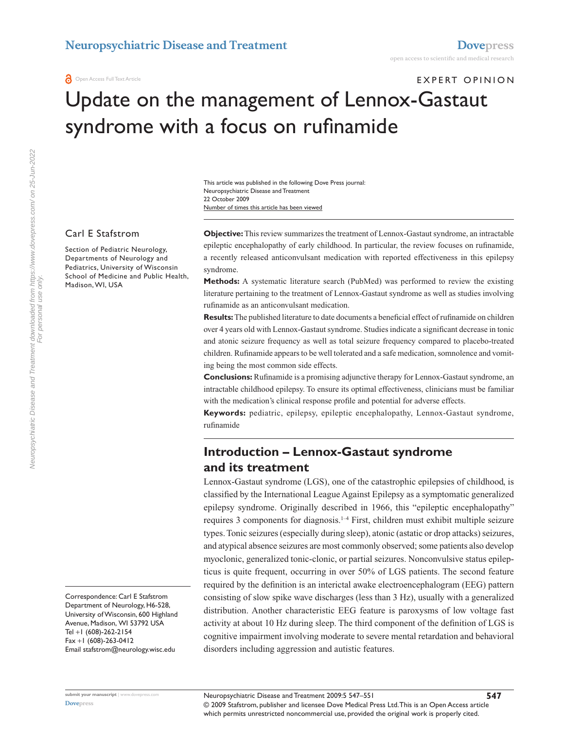# **EXPERT OPINION** Update on the management of Lennox-Gastaut syndrome with a focus on rufinamide

Number of times this article has been viewed This article was published in the following Dove Press journal: Neuropsychiatric Disease and Treatment 22 October 2009

#### Carl E Stafstrom

Section of Pediatric Neurology, Departments of Neurology and Pediatrics, University of Wisconsin School of Medicine and Public Health, Madison, WI, USA

**Objective:** This review summarizes the treatment of Lennox-Gastaut syndrome, an intractable epileptic encephalopathy of early childhood. In particular, the review focuses on rufinamide, a recently released anticonvulsant medication with reported effectiveness in this epilepsy syndrome.

**Methods:** A systematic literature search (PubMed) was performed to review the existing literature pertaining to the treatment of Lennox-Gastaut syndrome as well as studies involving rufinamide as an anticonvulsant medication.

**Results:** The published literature to date documents a beneficial effect of rufinamide on children over 4 years old with Lennox-Gastaut syndrome. Studies indicate a significant decrease in tonic and atonic seizure frequency as well as total seizure frequency compared to placebo-treated children. Rufinamide appears to be well tolerated and a safe medication, somnolence and vomiting being the most common side effects.

**Conclusions:** Rufinamide is a promising adjunctive therapy for Lennox-Gastaut syndrome, an intractable childhood epilepsy. To ensure its optimal effectiveness, clinicians must be familiar with the medication's clinical response profile and potential for adverse effects.

**Keywords:** pediatric, epilepsy, epileptic encephalopathy, Lennox-Gastaut syndrome, rufinamide

## **Introduction – Lennox-Gastaut syndrome and its treatment**

Lennox-Gastaut syndrome (LGS), one of the catastrophic epilepsies of childhood, is classified by the International League Against Epilepsy as a symptomatic generalized epilepsy syndrome. Originally described in 1966, this "epileptic encephalopathy" requires 3 components for diagnosis.1–4 First, children must exhibit multiple seizure types. Tonic seizures (especially during sleep), atonic (astatic or drop attacks) seizures, and atypical absence seizures are most commonly observed; some patients also develop myoclonic, generalized tonic-clonic, or partial seizures. Nonconvulsive status epilepticus is quite frequent, occurring in over 50% of LGS patients. The second feature required by the definition is an interictal awake electroencephalogram (EEG) pattern consisting of slow spike wave discharges (less than 3 Hz), usually with a generalized distribution. Another characteristic EEG feature is paroxysms of low voltage fast activity at about 10 Hz during sleep. The third component of the definition of LGS is cognitive impairment involving moderate to severe mental retardation and behavioral disorders including aggression and autistic features.

Correspondence: Carl E Stafstrom Department of Neurology, H6-528, University of Wisconsin, 600 Highland Avenue, Madison, WI 53792 USA Tel +1 (608)-262-2154 Fax +1 (608)-263-0412 Email stafstrom@neurology.wisc.edu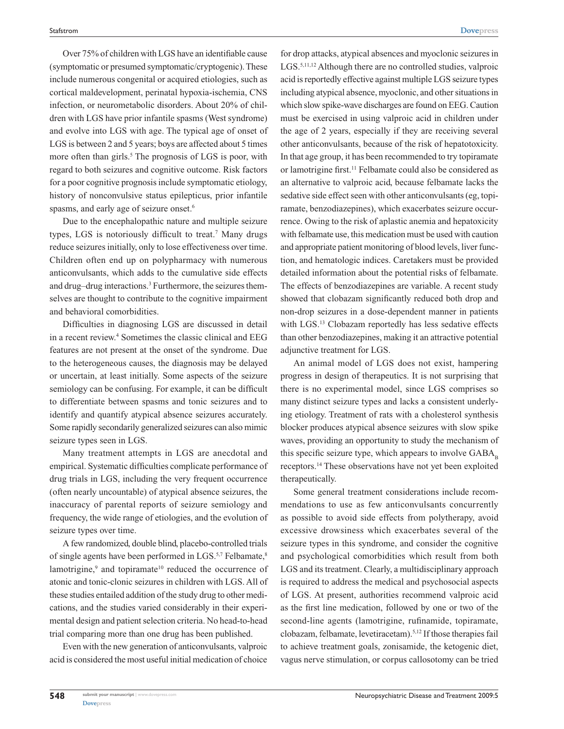Over 75% of children with LGS have an identifiable cause (symptomatic or presumed symptomatic/cryptogenic). These include numerous congenital or acquired etiologies, such as cortical maldevelopment, perinatal hypoxia-ischemia, CNS infection, or neurometabolic disorders. About 20% of children with LGS have prior infantile spasms (West syndrome) and evolve into LGS with age. The typical age of onset of LGS is between 2 and 5 years; boys are affected about 5 times more often than girls.<sup>5</sup> The prognosis of LGS is poor, with regard to both seizures and cognitive outcome. Risk factors for a poor cognitive prognosis include symptomatic etiology, history of nonconvulsive status epilepticus, prior infantile spasms, and early age of seizure onset.<sup>6</sup>

Due to the encephalopathic nature and multiple seizure types, LGS is notoriously difficult to treat.7 Many drugs reduce seizures initially, only to lose effectiveness over time. Children often end up on polypharmacy with numerous anticonvulsants, which adds to the cumulative side effects and drug–drug interactions.3 Furthermore, the seizures themselves are thought to contribute to the cognitive impairment and behavioral comorbidities.

Difficulties in diagnosing LGS are discussed in detail in a recent review.<sup>4</sup> Sometimes the classic clinical and EEG features are not present at the onset of the syndrome. Due to the heterogeneous causes, the diagnosis may be delayed or uncertain, at least initially. Some aspects of the seizure semiology can be confusing. For example, it can be difficult to differentiate between spasms and tonic seizures and to identify and quantify atypical absence seizures accurately. Some rapidly secondarily generalized seizures can also mimic seizure types seen in LGS.

Many treatment attempts in LGS are anecdotal and empirical. Systematic difficulties complicate performance of drug trials in LGS, including the very frequent occurrence (often nearly uncountable) of atypical absence seizures, the inaccuracy of parental reports of seizure semiology and frequency, the wide range of etiologies, and the evolution of seizure types over time.

A few randomized, double blind, placebo-controlled trials of single agents have been performed in LGS.<sup>5,7</sup> Felbamate,<sup>8</sup> lamotrigine,<sup>9</sup> and topiramate<sup>10</sup> reduced the occurrence of atonic and tonic-clonic seizures in children with LGS. All of these studies entailed addition of the study drug to other medications, and the studies varied considerably in their experimental design and patient selection criteria. No head-to-head trial comparing more than one drug has been published.

Even with the new generation of anticonvulsants, valproic acid is considered the most useful initial medication of choice

for drop attacks, atypical absences and myoclonic seizures in LGS.5,11,12 Although there are no controlled studies, valproic acid is reportedly effective against multiple LGS seizure types including atypical absence, myoclonic, and other situations in which slow spike-wave discharges are found on EEG. Caution must be exercised in using valproic acid in children under the age of 2 years, especially if they are receiving several other anticonvulsants, because of the risk of hepatotoxicity. In that age group, it has been recommended to try topiramate or lamotrigine first.<sup>11</sup> Felbamate could also be considered as an alternative to valproic acid, because felbamate lacks the sedative side effect seen with other anticonvulsants (eg, topiramate, benzodiazepines), which exacerbates seizure occurrence. Owing to the risk of aplastic anemia and hepatoxicity with felbamate use, this medication must be used with caution and appropriate patient monitoring of blood levels, liver function, and hematologic indices. Caretakers must be provided detailed information about the potential risks of felbamate. The effects of benzodiazepines are variable. A recent study showed that clobazam significantly reduced both drop and non-drop seizures in a dose-dependent manner in patients with LGS.<sup>13</sup> Clobazam reportedly has less sedative effects than other benzodiazepines, making it an attractive potential adjunctive treatment for LGS.

An animal model of LGS does not exist, hampering progress in design of therapeutics. It is not surprising that there is no experimental model, since LGS comprises so many distinct seizure types and lacks a consistent underlying etiology. Treatment of rats with a cholesterol synthesis blocker produces atypical absence seizures with slow spike waves, providing an opportunity to study the mechanism of this specific seizure type, which appears to involve  $GABA_p$ receptors.14 These observations have not yet been exploited therapeutically.

Some general treatment considerations include recommendations to use as few anticonvulsants concurrently as possible to avoid side effects from polytherapy, avoid excessive drowsiness which exacerbates several of the seizure types in this syndrome, and consider the cognitive and psychological comorbidities which result from both LGS and its treatment. Clearly, a multidisciplinary approach is required to address the medical and psychosocial aspects of LGS. At present, authorities recommend valproic acid as the first line medication, followed by one or two of the second-line agents (lamotrigine, rufinamide, topiramate, clobazam, felbamate, levetiracetam).5,12 If those therapies fail to achieve treatment goals, zonisamide, the ketogenic diet, vagus nerve stimulation, or corpus callosotomy can be tried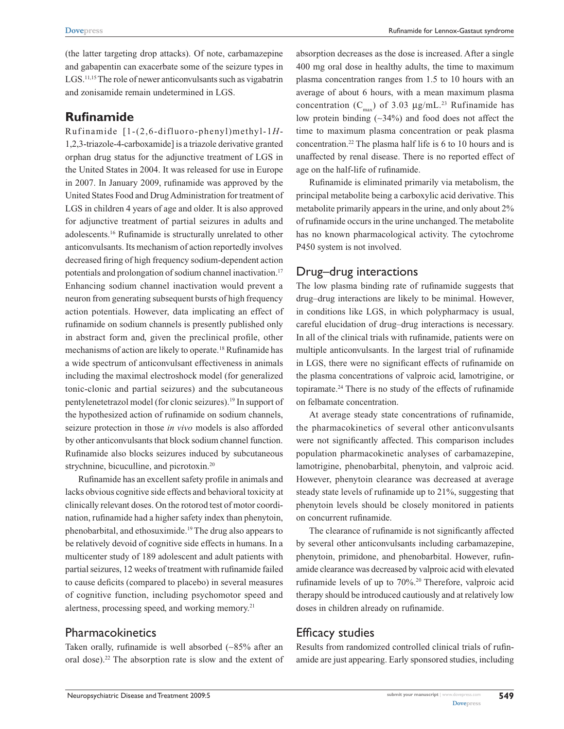(the latter targeting drop attacks). Of note, carbamazepine and gabapentin can exacerbate some of the seizure types in LGS.11,15 The role of newer anticonvulsants such as vigabatrin and zonisamide remain undetermined in LGS.

## **Rufinamide**

Ruf inamide [1-(2,6-difluoro-phenyl)methyl-1*H*-1,2,3-triazole-4-carboxamide] is a triazole derivative granted orphan drug status for the adjunctive treatment of LGS in the United States in 2004. It was released for use in Europe in 2007. In January 2009, rufinamide was approved by the United States Food and Drug Administration for treatment of LGS in children 4 years of age and older. It is also approved for adjunctive treatment of partial seizures in adults and adolescents.16 Rufinamide is structurally unrelated to other anticonvulsants. Its mechanism of action reportedly involves decreased firing of high frequency sodium-dependent action potentials and prolongation of sodium channel inactivation.<sup>17</sup> Enhancing sodium channel inactivation would prevent a neuron from generating subsequent bursts of high frequency action potentials. However, data implicating an effect of rufinamide on sodium channels is presently published only in abstract form and, given the preclinical profile, other mechanisms of action are likely to operate.18 Rufinamide has a wide spectrum of anticonvulsant effectiveness in animals including the maximal electroshock model (for generalized tonic-clonic and partial seizures) and the subcutaneous pentylenetetrazol model (for clonic seizures).19 In support of the hypothesized action of rufinamide on sodium channels, seizure protection in those *in vivo* models is also afforded by other anticonvulsants that block sodium channel function. Rufinamide also blocks seizures induced by subcutaneous strychnine, bicuculline, and picrotoxin.<sup>20</sup>

Rufinamide has an excellent safety profile in animals and lacks obvious cognitive side effects and behavioral toxicity at clinically relevant doses. On the rotorod test of motor coordination, rufinamide had a higher safety index than phenytoin, phenobarbital, and ethosuximide.<sup>19</sup> The drug also appears to be relatively devoid of cognitive side effects in humans. In a multicenter study of 189 adolescent and adult patients with partial seizures, 12 weeks of treatment with rufinamide failed to cause deficits (compared to placebo) in several measures of cognitive function, including psychomotor speed and alertness, processing speed, and working memory.<sup>21</sup>

#### Pharmacokinetics

Taken orally, rufinamide is well absorbed (∼85% after an oral dose).<sup>22</sup> The absorption rate is slow and the extent of absorption decreases as the dose is increased. After a single 400 mg oral dose in healthy adults, the time to maximum plasma concentration ranges from 1.5 to 10 hours with an average of about 6 hours, with a mean maximum plasma concentration  $(C_{\text{max}})$  of 3.03  $\mu$ g/mL.<sup>23</sup> Rufinamide has low protein binding (∼34%) and food does not affect the time to maximum plasma concentration or peak plasma concentration.22 The plasma half life is 6 to 10 hours and is unaffected by renal disease. There is no reported effect of age on the half-life of rufinamide.

Rufinamide is eliminated primarily via metabolism, the principal metabolite being a carboxylic acid derivative. This metabolite primarily appears in the urine, and only about 2% of rufinamide occurs in the urine unchanged. The metabolite has no known pharmacological activity. The cytochrome P450 system is not involved.

#### Drug–drug interactions

The low plasma binding rate of rufinamide suggests that drug–drug interactions are likely to be minimal. However, in conditions like LGS, in which polypharmacy is usual, careful elucidation of drug–drug interactions is necessary. In all of the clinical trials with rufinamide, patients were on multiple anticonvulsants. In the largest trial of rufinamide in LGS, there were no significant effects of rufinamide on the plasma concentrations of valproic acid, lamotrigine, or topiramate.24 There is no study of the effects of rufinamide on felbamate concentration.

At average steady state concentrations of rufinamide, the pharmacokinetics of several other anticonvulsants were not significantly affected. This comparison includes population pharmacokinetic analyses of carbamazepine, lamotrigine, phenobarbital, phenytoin, and valproic acid. However, phenytoin clearance was decreased at average steady state levels of rufinamide up to 21%, suggesting that phenytoin levels should be closely monitored in patients on concurrent rufinamide.

The clearance of rufinamide is not significantly affected by several other anticonvulsants including carbamazepine, phenytoin, primidone, and phenobarbital. However, rufinamide clearance was decreased by valproic acid with elevated rufinamide levels of up to 70%.20 Therefore, valproic acid therapy should be introduced cautiously and at relatively low doses in children already on rufinamide.

## Efficacy studies

Results from randomized controlled clinical trials of rufinamide are just appearing. Early sponsored studies, including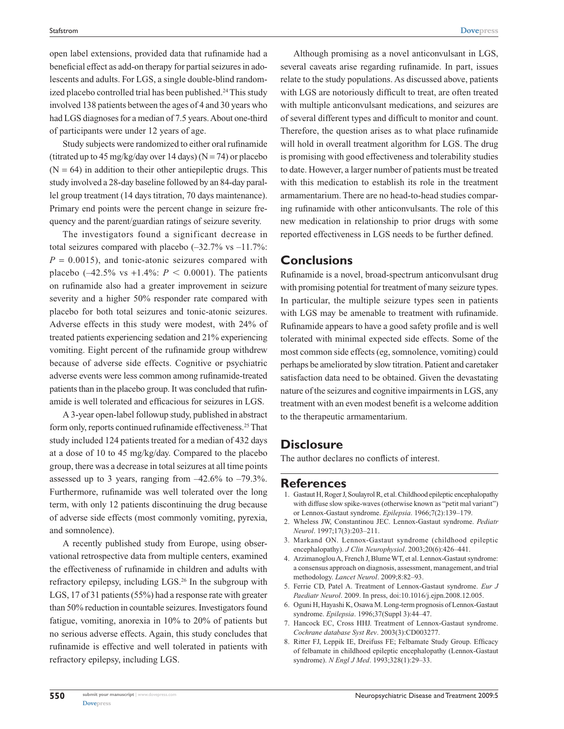open label extensions, provided data that rufinamide had a beneficial effect as add-on therapy for partial seizures in adolescents and adults. For LGS, a single double-blind randomized placebo controlled trial has been published.<sup>24</sup> This study involved 138 patients between the ages of 4 and 30 years who had LGS diagnoses for a median of 7.5 years. About one-third of participants were under 12 years of age.

Study subjects were randomized to either oral rufinamide (titrated up to 45 mg/kg/day over 14 days) ( $N = 74$ ) or placebo  $(N = 64)$  in addition to their other antiepileptic drugs. This study involved a 28-day baseline followed by an 84-day parallel group treatment (14 days titration, 70 days maintenance). Primary end points were the percent change in seizure frequency and the parent/guardian ratings of seizure severity.

The investigators found a significant decrease in total seizures compared with placebo  $(-32.7\% \text{ vs } -11.7\%$ :  $P = 0.0015$ , and tonic-atonic seizures compared with placebo  $(-42.5\% \text{ vs } +1.4\% \text{: } P < 0.0001)$ . The patients on rufinamide also had a greater improvement in seizure severity and a higher 50% responder rate compared with placebo for both total seizures and tonic-atonic seizures. Adverse effects in this study were modest, with 24% of treated patients experiencing sedation and 21% experiencing vomiting. Eight percent of the rufinamide group withdrew because of adverse side effects. Cognitive or psychiatric adverse events were less common among rufinamide-treated patients than in the placebo group. It was concluded that rufinamide is well tolerated and efficacious for seizures in LGS.

A 3-year open-label followup study, published in abstract form only, reports continued rufinamide effectiveness.<sup>25</sup> That study included 124 patients treated for a median of 432 days at a dose of 10 to 45 mg/kg/day. Compared to the placebo group, there was a decrease in total seizures at all time points assessed up to 3 years, ranging from  $-42.6\%$  to  $-79.3\%$ . Furthermore, rufinamide was well tolerated over the long term, with only 12 patients discontinuing the drug because of adverse side effects (most commonly vomiting, pyrexia, and somnolence).

A recently published study from Europe, using observational retrospective data from multiple centers, examined the effectiveness of rufinamide in children and adults with refractory epilepsy, including LGS.26 In the subgroup with LGS, 17 of 31 patients (55%) had a response rate with greater than 50% reduction in countable seizures. Investigators found fatigue, vomiting, anorexia in 10% to 20% of patients but no serious adverse effects. Again, this study concludes that rufinamide is effective and well tolerated in patients with refractory epilepsy, including LGS.

Although promising as a novel anticonvulsant in LGS, several caveats arise regarding rufinamide. In part, issues relate to the study populations. As discussed above, patients with LGS are notoriously difficult to treat, are often treated with multiple anticonvulsant medications, and seizures are of several different types and difficult to monitor and count. Therefore, the question arises as to what place rufinamide will hold in overall treatment algorithm for LGS. The drug is promising with good effectiveness and tolerability studies to date. However, a larger number of patients must be treated with this medication to establish its role in the treatment armamentarium. There are no head-to-head studies comparing rufinamide with other anticonvulsants. The role of this new medication in relationship to prior drugs with some reported effectiveness in LGS needs to be further defined.

#### **Conclusions**

Rufinamide is a novel, broad-spectrum anticonvulsant drug with promising potential for treatment of many seizure types. In particular, the multiple seizure types seen in patients with LGS may be amenable to treatment with rufinamide. Rufinamide appears to have a good safety profile and is well tolerated with minimal expected side effects. Some of the most common side effects (eg, somnolence, vomiting) could perhaps be ameliorated by slow titration. Patient and caretaker satisfaction data need to be obtained. Given the devastating nature of the seizures and cognitive impairments in LGS, any treatment with an even modest benefit is a welcome addition to the therapeutic armamentarium.

## **Disclosure**

The author declares no conflicts of interest.

#### **References**

- 1. Gastaut H, Roger J, Soulayrol R, et al. Childhood epileptic encephalopathy with diffuse slow spike-waves (otherwise known as "petit mal variant") or Lennox-Gastaut syndrome. *Epilepsia*. 1966;7(2):139–179.
- 2. Wheless JW, Constantinou JEC. Lennox-Gastaut syndrome. *Pediatr Neurol*. 1997;17(3):203–211.
- 3. Markand ON. Lennox-Gastaut syndrome (childhood epileptic encephalopathy). *J Clin Neurophysiol*. 2003;20(6):426–441.
- 4. Arzimanoglou A, French J, Blume WT, et al. Lennox-Gastaut syndrome: a consensus approach on diagnosis, assessment, management, and trial methodology. *Lancet Neurol*. 2009;8:82–93.
- 5. Ferrie CD, Patel A. Treatment of Lennox-Gastaut syndrome. *Eur J Paediatr Neurol*. 2009. In press, doi:10.1016/j.ejpn.2008.12.005.
- 6. Oguni H, Hayashi K, Osawa M. Long-term prognosis of Lennox-Gastaut syndrome. *Epilepsia*. 1996;37(Suppl 3):44–47.
- 7. Hancock EC, Cross HHJ. Treatment of Lennox-Gastaut syndrome. *Cochrane database Syst Rev*. 2003(3):CD003277.
- 8. Ritter FJ, Leppik IE, Dreifuss FE; Felbamate Study Group. Efficacy of felbamate in childhood epileptic encephalopathy (Lennox-Gastaut syndrome). *N Engl J Med*. 1993;328(1):29–33.